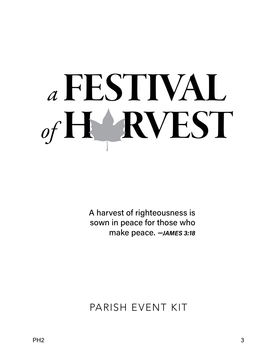A harvest of righteousness is sown in peace for those who make peace. *—JAMES 3:18*

PARISH EVENT KIT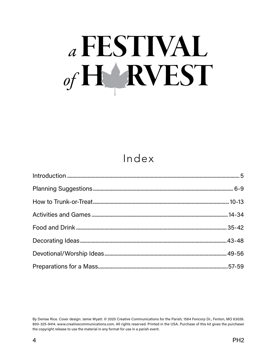### Index

By Denise Rice. Cover design: Jamie Wyatt. © 2020 Creative Communications for the Parish, 1564 Fencorp Dr., Fenton, MO 63026. 800-325-9414. www.creativecommunications.com. All rights reserved. Printed in the USA. Purchase of this kit gives the purchaser the copyright release to use the material in any format for use in a parish event.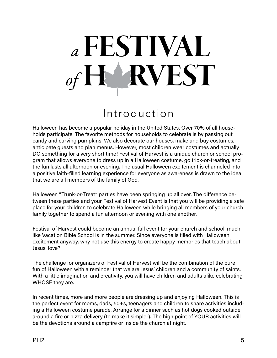## *<sup>a</sup>*FESTIVAL **F RVEST**

### Introduction

Halloween has become a popular holiday in the United States. Over 70% of all households participate. The favorite methods for households to celebrate is by passing out candy and carving pumpkins. We also decorate our houses, make and buy costumes, anticipate guests and plan menus. However, most children wear costumes and actually DO something for a very short time! Festival of Harvest is a unique church or school program that allows everyone to dress up in a Halloween costume, go trick-or-treating, and the fun lasts all afternoon or evening. The usual Halloween excitement is channeled into a positive faith-filled learning experience for everyone as awareness is drawn to the idea that we are all members of the family of God.

Halloween "Trunk-or-Treat" parties have been springing up all over. The difference between these parties and your Festival of Harvest Event is that you will be providing a safe place for your children to celebrate Halloween while bringing all members of your church family together to spend a fun afternoon or evening with one another.

Festival of Harvest could become an annual fall event for your church and school, much like Vacation Bible School is in the summer. Since everyone is filled with Halloween excitement anyway, why not use this energy to create happy memories that teach about Jesus' love?

The challenge for organizers of Festival of Harvest will be the combination of the pure fun of Halloween with a reminder that we are Jesus' children and a community of saints. With a little imagination and creativity, you will have children and adults alike celebrating WHOSE they are.

In recent times, more and more people are dressing up and enjoying Halloween. This is the perfect event for moms, dads, 50+s, teenagers and children to share activities including a Halloween costume parade. Arrange for a dinner such as hot dogs cooked outside around a fire or pizza delivery (to make it simpler). The high point of YOUR activities will be the devotions around a campfire or inside the church at night.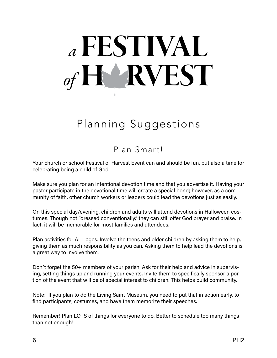### Planning Suggestions

#### Plan Smart!

Your church or school Festival of Harvest Event can and should be fun, but also a time for celebrating being a child of God.

Make sure you plan for an intentional devotion time and that you advertise it. Having your pastor participate in the devotional time will create a special bond; however, as a community of faith, other church workers or leaders could lead the devotions just as easily.

On this special day/evening, children and adults will attend devotions in Halloween costumes. Though not "dressed conventionally," they can still offer God prayer and praise. In fact, it will be memorable for most families and attendees.

Plan activities for ALL ages. Involve the teens and older children by asking them to help, giving them as much responsibility as you can. Asking them to help lead the devotions is a great way to involve them.

Don't forget the 50+ members of your parish. Ask for their help and advice in supervising, setting things up and running your events. Invite them to specifically sponsor a portion of the event that will be of special interest to children. This helps build community.

Note: If you plan to do the Living Saint Museum, you need to put that in action early, to find participants, costumes, and have them memorize their speeches.

Remember! Plan LOTS of things for everyone to do. Better to schedule too many things than not enough!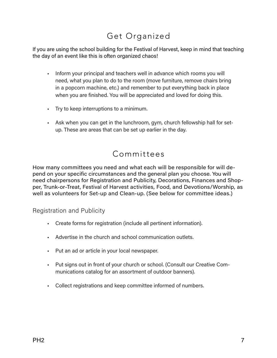#### Get Organized

If you are using the school building for the Festival of Harvest, keep in mind that teaching the day of an event like this is often organized chaos!

- Inform your principal and teachers well in advance which rooms you will need, what you plan to do to the room (move furniture, remove chairs bring in a popcorn machine, etc.) and remember to put everything back in place when you are finished. You will be appreciated and loved for doing this.
- Try to keep interruptions to a minimum.
- Ask when you can get in the lunchroom, gym, church fellowship hall for setup. These are areas that can be set up earlier in the day.

#### Committees

How many committees you need and what each will be responsible for will depend on your specific circumstances and the general plan you choose. You will need chairpersons for Registration and Publicity, Decorations, Finances and Shopper, Trunk-or-Treat, Festival of Harvest activities, Food, and Devotions/Worship, as well as volunteers for Set-up and Clean-up. (See below for committee ideas.)

Registration and Publicity

- Create forms for registration (include all pertinent information).
- Advertise in the church and school communication outlets.
- Put an ad or article in your local newspaper.
- Put signs out in front of your church or school. (Consult our Creative Communications catalog for an assortment of outdoor banners).
- Collect registrations and keep committee informed of numbers.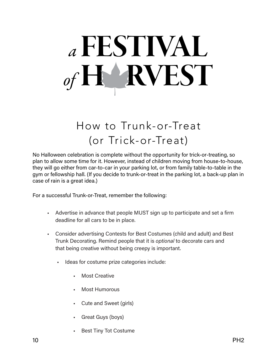## *<sup>a</sup>*FESTIVAL **FARVEST**

## How to Trunk-or-Treat (or Trick-or-Treat)

No Halloween celebration is complete without the opportunity for trick-or-treating, so plan to allow some time for it. However, instead of children moving from house-to-house, they will go either from car-to-car in your parking lot, or from family table-to-table in the gym or fellowship hall. (If you decide to trunk-or-treat in the parking lot, a back-up plan in case of rain is a great idea.)

For a successful Trunk-or-Treat, remember the following:

- Advertise in advance that people MUST sign up to participate and set a firm deadline for all cars to be in place.
- Consider advertising Contests for Best Costumes (child and adult) and Best Trunk Decorating. Remind people that it is *optional* to decorate cars and that being creative without being creepy is important.
	- Ideas for costume prize categories include:
		- **Most Creative**
		- Most Humorous
		- Cute and Sweet (girls)
		- Great Guys (boys)
		- **Best Tiny Tot Costume**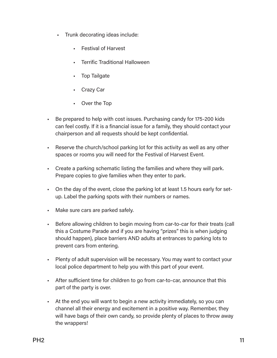- Trunk decorating ideas include:
	- Festival of Harvest
	- Terrific Traditional Halloween
	- Top Tailgate
	- Crazy Car
	- Over the Top
- Be prepared to help with cost issues. Purchasing candy for 175-200 kids can feel costly. If it is a financial issue for a family, they should contact your chairperson and all requests should be kept confidential.
- Reserve the church/school parking lot for this activity as well as any other spaces or rooms you will need for the Festival of Harvest Event.
- Create a parking schematic listing the families and where they will park. Prepare copies to give families when they enter to park.
- On the day of the event, close the parking lot at least 1.5 hours early for setup. Label the parking spots with their numbers or names.
- Make sure cars are parked safely.
- Before allowing children to begin moving from car-to-car for their treats (call this a Costume Parade and if you are having "prizes" this is when judging should happen), place barriers AND adults at entrances to parking lots to prevent cars from entering.
- Plenty of adult supervision will be necessary. You may want to contact your local police department to help you with this part of your event.
- After sufficient time for children to go from car-to-car, announce that this part of the party is over.
- At the end you will want to begin a new activity immediately, so you can channel all their energy and excitement in a positive way. Remember, they will have bags of their own candy, so provide plenty of places to throw away the wrappers!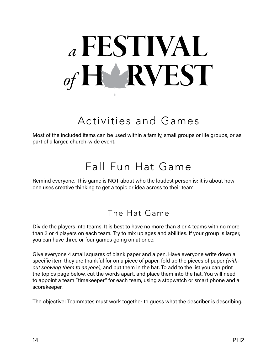## *<sup>a</sup>*FESTIVAL **FARVEST**

### Activities and Games

Most of the included items can be used within a family, small groups or life groups, or as part of a larger, church-wide event.

### Fall Fun Hat Game

Remind everyone. This game is NOT about who the loudest person is; it is about how one uses creative thinking to get a topic or idea across to their team.

#### The Hat Game

Divide the players into teams. It is best to have no more than 3 or 4 teams with no more than 3 or 4 players on each team. Try to mix up ages and abilities. If your group is larger, you can have three or four games going on at once.

Give everyone 4 small squares of blank paper and a pen. Have everyone write down a specific item they are thankful for on a piece of paper, fold up the pieces of paper *(without showing them to anyone)*, and put them in the hat. To add to the list you can print the topics page below, cut the words apart, and place them into the hat. You will need to appoint a team "timekeeper" for each team, using a stopwatch or smart phone and a scorekeeper.

The objective: Teammates must work together to guess what the describer is describing.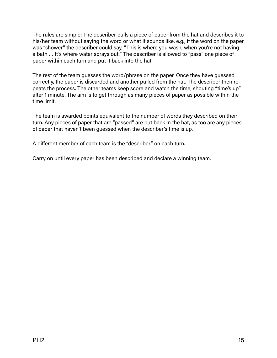The rules are simple: The describer pulls a piece of paper from the hat and describes it to his/her team without saying the word or what it sounds like. e.g., if the word on the paper was "shower" the describer could say, "This is where you wash, when you're not having a bath … It's where water sprays out." The describer is allowed to "pass" one piece of paper within each turn and put it back into the hat.

The rest of the team guesses the word/phrase on the paper. Once they have guessed correctly, the paper is discarded and another pulled from the hat. The describer then repeats the process. The other teams keep score and watch the time, shouting "time's up" after 1 minute. The aim is to get through as many pieces of paper as possible within the time limit.

The team is awarded points equivalent to the number of words they described on their turn. Any pieces of paper that are "passed" are put back in the hat, as too are any pieces of paper that haven't been guessed when the describer's time is up.

A different member of each team is the "describer" on each turn.

Carry on until every paper has been described and declare a winning team.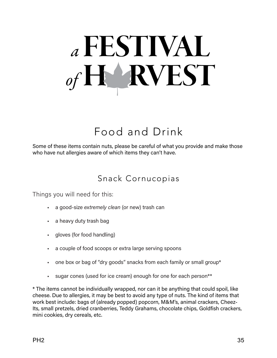## Food and Drink

Some of these items contain nuts, please be careful of what you provide and make those who have nut allergies aware of which items they can't have.

#### Snack Cornucopias

Things you will need for this:

- a good-size *extremely clean* (or new) trash can
- a heavy duty trash bag
- gloves (for food handling)
- a couple of food scoops or extra large serving spoons
- one box or bag of "dry goods" snacks from each family or small group\*
- sugar cones (used for ice cream) enough for one for each person\*\*

\* The items cannot be individually wrapped, nor can it be anything that could spoil, like cheese. Due to allergies, it may be best to avoid any type of nuts. The kind of items that work best include: bags of (already popped) popcorn, M&M's, animal crackers, Cheez-Its, small pretzels, dried cranberries, Teddy Grahams, chocolate chips, Goldfish crackers, mini cookies, dry cereals, etc.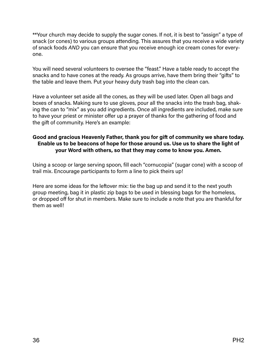\*\*Your church may decide to supply the sugar cones. If not, it is best to "assign" a type of snack (or cones) to various groups attending. This assures that you receive a wide variety of snack foods *AND* you can ensure that you receive enough ice cream cones for everyone.

You will need several volunteers to oversee the "feast." Have a table ready to accept the snacks and to have cones at the ready. As groups arrive, have them bring their "gifts" to the table and leave them. Put your heavy duty trash bag into the clean can.

Have a volunteer set aside all the cones, as they will be used later. Open all bags and boxes of snacks. Making sure to use gloves, pour all the snacks into the trash bag, shaking the can to "mix" as you add ingredients. Once all ingredients are included, make sure to have your priest or minister offer up a prayer of thanks for the gathering of food and the gift of community. Here's an example:

#### **Good and gracious Heavenly Father, thank you for gift of community we share today. Enable us to be beacons of hope for those around us. Use us to share the light of your Word with others, so that they may come to know you. Amen.**

Using a scoop or large serving spoon, fill each "cornucopia" (sugar cone) with a scoop of trail mix. Encourage participants to form a line to pick theirs up!

Here are some ideas for the leftover mix: tie the bag up and send it to the next youth group meeting, bag it in plastic zip bags to be used in blessing bags for the homeless, or dropped off for shut in members. Make sure to include a note that you are thankful for them as well!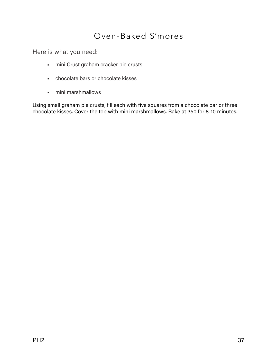#### Oven-Baked S'mores

Here is what you need:

- mini Crust graham cracker pie crusts
- chocolate bars or chocolate kisses
- mini marshmallows

Using small graham pie crusts, fill each with five squares from a chocolate bar or three chocolate kisses. Cover the top with mini marshmallows. Bake at 350 for 8-10 minutes.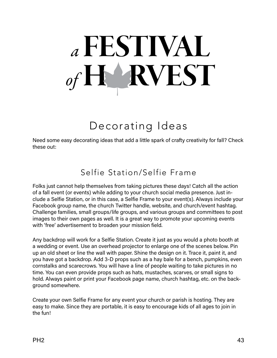### Decorating Ideas

Need some easy decorating ideas that add a little spark of crafty creativity for fall? Check these out:

### Selfie Station/Selfie Frame

Folks just cannot help themselves from taking pictures these days! Catch all the action of a fall event (or events) while adding to your church social media presence. Just include a Selfie Station, or in this case, a Selfie Frame to your event(s). Always include your Facebook group name, the church Twitter handle, website, and church/event hashtag. Challenge families, small groups/life groups, and various groups and committees to post images to their own pages as well. It is a great way to promote your upcoming events with 'free' advertisement to broaden your mission field.

Any backdrop will work for a Selfie Station. Create it just as you would a photo booth at a wedding or event. Use an overhead projector to enlarge one of the scenes below. Pin up an old sheet or line the wall with paper. Shine the design on it. Trace it, paint it, and you have got a backdrop. Add 3-D props such as a hay bale for a bench, pumpkins, even cornstalks and scarecrows. You will have a line of people waiting to take pictures in no time. You can even provide props such as hats, mustaches, scarves, or small signs to hold. Always paint or print your Facebook page name, church hashtag, etc. on the background somewhere.

Create your own Selfie Frame for any event your church or parish is hosting. They are easy to make. Since they are portable, it is easy to encourage kids of all ages to join in the fun!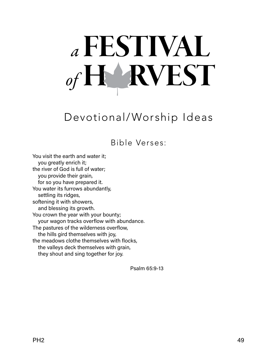## *<sup>a</sup>*FESTIVAL **F RVEST**

### Devotional/Worship Ideas

Bible Verses:

You visit the earth and water it; you greatly enrich it; the river of God is full of water; you provide their grain, for so you have prepared it. You water its furrows abundantly, settling its ridges, softening it with showers, and blessing its growth. You crown the year with your bounty; your wagon tracks overflow with abundance. The pastures of the wilderness overflow, the hills gird themselves with joy, the meadows clothe themselves with flocks, the valleys deck themselves with grain, they shout and sing together for joy.

Psalm 65:9-13